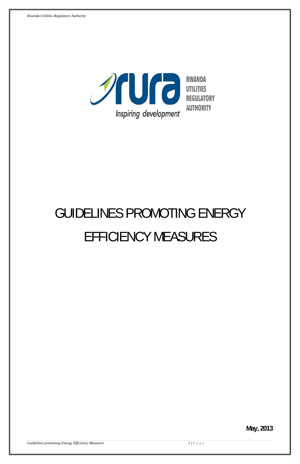

# GUIDELINES PROMOTING ENERGY EFFICIENCY MEASURES

# **May, 2013**

**Guidelines promoting Energy Efficiency Measures 1/P** a g e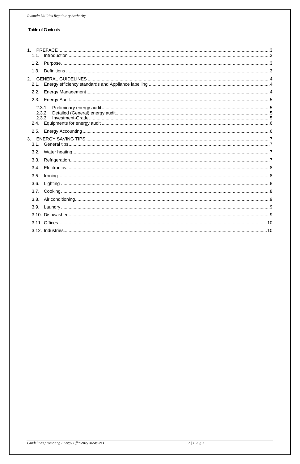# **Table of Contents**

| 1.1.                       |  |
|----------------------------|--|
|                            |  |
|                            |  |
|                            |  |
|                            |  |
|                            |  |
| 2.3.1.<br>2.3.2.<br>2.3.3. |  |
|                            |  |
|                            |  |
|                            |  |
|                            |  |
| 3.4.                       |  |
| 3.5.                       |  |
|                            |  |
|                            |  |
|                            |  |
|                            |  |
|                            |  |
|                            |  |
|                            |  |

Guidelines promoting Energy Efficiency Measures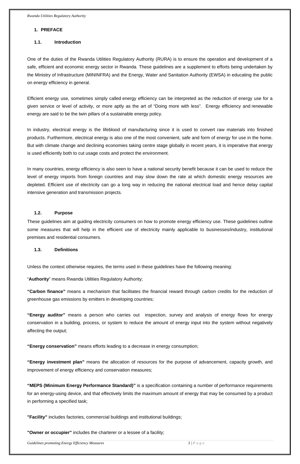#### <span id="page-2-0"></span>**1. PREFACE**

#### **1.1. Introduction**

One of the duties of the Rwanda Utilities Regulatory Authority (RURA) is to ensure the operation and development of a safe, efficient and economic energy sector in Rwanda. These guidelines are a supplement to efforts being undertaken by the Ministry of Infrastructure (MININFRA) and the Energy, Water and Sanitation Authority (EWSA) in educating the public on energy efficiency in general.

Efficient energy use, sometimes simply called energy efficiency can be interpreted as the reduction of energy use for a given service or level of activity, or more aptly as the art of "Doing more with less". Energy efficiency and [renewable](http://en.wikipedia.org/wiki/Renewable_energy)  [energy](http://en.wikipedia.org/wiki/Renewable_energy) are said to be the twin pillars of a sustainable energy policy.

In industry, electrical energy is the lifeblood of manufacturing since it is used to convert raw materials into finished products. Furthermore, electrical energy is also one of the most convenient, safe and form of energy for use in the home. But with climate change and declining economies taking centre stage globally in recent years, it is imperative that energy is used efficiently both to cut usage costs and protect the environment.

In many countries, energy efficiency is also seen to have a national security benefit because it can be used to reduce the level of energy imports from foreign countries and may slow down the rate at which domestic energy resources are depleted. Efficient use of electricity can go a long way in reducing the national electrical load and hence delay capital intensive generation and transmission projects.

#### **1.2. Purpose**

These guidelines aim at guiding electricity consumers on how to promote energy efficiency use. These guidelines outline some measures that will help in the efficient use of electricity mainly applicable to businesses/industry, institutional premises and residential consumers.

# **1.3. Definitions**

Unless the context otherwise requires, the terms used in these guidelines have the following meaning:

"**Authority**" means Rwanda Utilities Regulatory Authority;

**"Carbon finance"** means a mechanism that facilitates the financial reward through carbon credits for the reduction of greenhouse gas emissions by emitters in developing countries;

**"Energy auditor"** means a person who carries out inspection, survey and analysis of energy flows for energy conservation in a building, process, or system to reduce the amount of energy input into the system without negatively affecting the output;

**"Energy conservation"** means efforts leading to a decrease in energy consumption;

**"Energy investment plan"** means the allocation of resources for the purpose of advancement, capacity growth, and improvement of energy efficiency and conservation measures;

**"MEPS (Minimum Energy Performance Standard)"** is a specification containing a number of performance requirements for an energy-using device, and that effectively limits the maximum amount of energy that may be consumed by a product in performing a specified task;

**"Facility"** includes factories, commercial buildings and institutional buildings;

**"Owner or occupier"** includes the charterer or a lessee of a facility;

**Guidelines promoting Energy Efficiency Measures 3 / Page 3 / Page**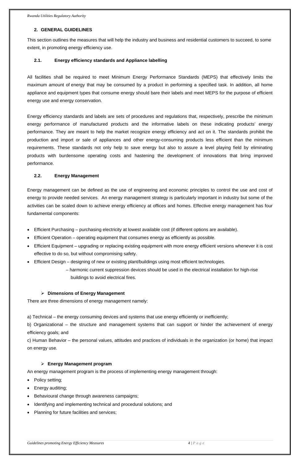# <span id="page-3-0"></span>**2. GENERAL GUIDELINES**

This section outlines the measures that will help the industry and business and residential customers to succeed, to some extent, in promoting energy efficiency use.

# **2.1. Energy efficiency standards and Appliance labelling**

All facilities shall be required to meet Minimum Energy Performance Standards (MEPS) that effectively limits the maximum amount of [energy](http://en.wikipedia.org/wiki/Energy) that may be consumed by a product in performing a specified task. In addition, all home appliance and equipment types that consume energy should bare their labels and meet MEPS for the purpose of efficient energy use and energy conservation.

Energy efficiency standards and labels are sets of procedures and regulations that, respectively, prescribe the minimum energy performance of manufactured products and the informative labels on these indicating products' energy performance. They are meant to help the market recognize energy efficiency and act on it. The standards prohibit the production and import or sale of appliances and other energy-consuming products less efficient than the minimum requirements. These standards not only help to save energy but also to assure a level playing field by eliminating products with burdensome operating costs and hastening the development of innovations that bring improved performance.

# **2.2. Energy Management**

Energy management can be defined as the use of engineering and economic principles to control the use and cost of energy to provide needed services. An energy management strategy is particularly important in industry but some of the activities can be scaled down to achieve energy efficiency at offices and homes. Effective energy management has four fundamental components:

- Policy setting;
- Energy auditing;
- Behavioural change through awareness campaigns;
- Identifying and implementing technical and procedural solutions; and
- Planning for future facilities and services;

**Guidelines promoting Energy Efficiency Measures 6 and 1999 and 1999 and 1999 and 1999 and 1999 and 1999 and 1999 and 1999 and 1999 and 1999 and 1999 and 1999 and 1999 and 1999 and 1999 and 1999 and 1999 and 1999 and 1999** 

- Efficient Purchasing purchasing electricity at lowest available cost (if different options are available).
- Efficient Operation operating equipment that consumes energy as efficiently as possible.
- Efficient Equipment upgrading or replacing existing equipment with more energy efficient versions whenever it is cost effective to do so, but without compromising safety.
- Efficient Design designing of new or existing plant/buildings using most efficient technologies.
	- harmonic current suppression devices should be used in the electrical installation for high-rise buildings to avoid electrical fires.

# ¾ **Dimensions of Energy Management**

There are three dimensions of energy management namely:

a) Technical – the energy consuming devices and systems that use energy efficiently or inefficiently;

b) Organizational – the structure and management systems that can support or hinder the achievement of energy efficiency goals; and

c) Human Behavior – the personal values, attitudes and practices of individuals in the organization (or home) that impact

on energy use.

# ¾ **Energy Management program**

An energy management program is the process of implementing energy management through: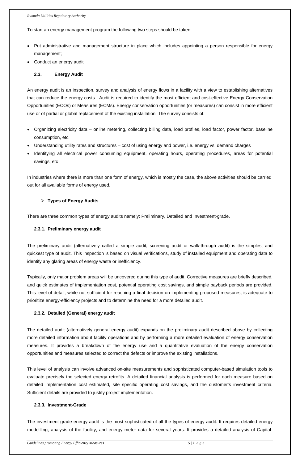<span id="page-4-0"></span>To start an energy management program the following two steps should be taken:

- Put administrative and management structure in place which includes appointing a person responsible for energy management;
- Conduct an energy audit

# **2.3. Energy Audit**

An energy audit is an inspection, survey and analysis of energy flows in a facility with a view to establishing alternatives that can reduce the energy costs. Audit is required to identify the most efficient and cost-effective Energy Conservation Opportunities (ECOs) or Measures (ECMs). Energy conservation opportunities (or measures) can consist in more efficient use or of partial or global replacement of the existing installation. The survey consists of:

- Organizing electricity data online metering, collecting billing data, load profiles, load factor, power factor, baseline consumption, etc.
- Understanding utility rates and structures cost of using energy and power, i.e. energy vs. demand charges
- Identifying all electrical power consuming equipment, operating hours, operating procedures, areas for potential savings, etc

In industries where there is more than one form of energy, which is mostly the case, the above activities should be carried out for all available forms of energy used.

# ¾ **Types of Energy Audits**

There are three common types of energy audits namely: Preliminary, Detailed and Investment-grade.

# **2.3.1. Preliminary energy audit**

The preliminary audit (alternatively called a simple audit, screening audit or walk-through audit) is the simplest and quickest type of audit. This inspection is based on visual verifications, study of installed equipment and operating data to identify any glaring areas of energy waste or inefficiency.

Typically, only major problem areas will be uncovered during this type of audit. Corrective measures are briefly described, and quick estimates of implementation cost, potential operating cost savings, and simple payback periods are provided. This level of detail, while not sufficient for reaching a final decision on implementing proposed measures, is adequate to prioritize energy-efficiency projects and to determine the need for a more detailed audit.

# **2.3.2. Detailed (General) energy audit**

The detailed audit (alternatively general energy audit) expands on the preliminary audit described above by collecting more detailed information about facility operations and by performing a more detailed evaluation of energy conservation

measures. It provides a breakdown of the energy use and a quantitative evaluation of the energy conservation opportunities and measures selected to correct the defects or improve the existing installations.

This level of analysis can involve advanced on-site measurements and sophisticated computer-based simulation tools to evaluate precisely the selected energy retrofits. A detailed financial analysis is performed for each measure based on detailed implementation cost estimated, site specific operating cost savings, and the customer's investment criteria. Sufficient details are provided to justify project implementation.

# **2.3.3. Investment-Grade**

The investment grade energy audit is the most sophisticated of all the types of energy audit. It requires detailed energy modellling, analysis of the facility, and energy meter data for several years. It provides a detailed analysis of Capital-

**Guidelines promoting Energy Efficiency Measures** 5 | P a g e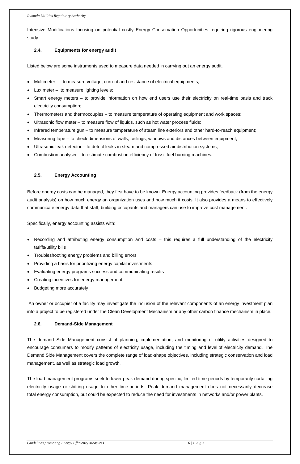<span id="page-5-0"></span>Intensive Modifications focusing on potential costly Energy Conservation Opportunities requiring rigorous engineering study.

### **2.4. Equipments for energy audit**

Listed below are some instruments used to measure data needed in carrying out an energy audit.

- Multimeter to measure voltage, current and resistance of electrical equipments;
- Lux meter  $-$  to measure lighting levels;
- Smart energy meters to provide information on how end users use their electricity on real-time basis and track electricity consumption;
- Thermometers and thermocouples to measure temperature of operating equipment and work spaces;
- Ultrasonic flow meter to measure flow of liquids, such as hot water process fluids;
- Infrared temperature gun to measure temperature of steam line exteriors and other hard-to-reach equipment;
- Measuring tape to check dimensions of walls, ceilings, windows and distances between equipment;
- Ultrasonic leak detector to detect leaks in steam and compressed air distribution systems;
- Combustion analyser to estimate combustion efficiency of fossil fuel burning machines.

#### **2.5. Energy Accounting**

Before energy costs can be managed, they first have to be known. Energy accounting provides feedback (from the energy audit analysis) on how much energy an organization uses and how much it costs. It also provides a means to effectively communicate energy data that staff, building occupants and managers can use to improve cost management.

Specifically, energy accounting assists with:

- Recording and attributing energy consumption and costs this requires a full understanding of the electricity tariffs/utility bills
- Troubleshooting energy problems and billing errors
- Providing a basis for prioritizing energy capital investments
- Evaluating energy programs success and communicating results
- Creating incentives for energy management
- Budgeting more accurately

 An owner or occupier of a facility may investigate the inclusion of the relevant components of an energy investment plan into a project to be registered under the Clean Development Mechanism or any other carbon finance mechanism in place.

#### **2.6. Demand-Side Management**

The demand Side Management consist of planning, implementation, and monitoring of utility activities designed to

encourage consumers to modify patterns of electricity usage, including the timing and level of electricity demand. The Demand Side [Management](http://www.aceee.org/glossary/9#term586) covers the complete range of load-shape objectives, including strategic conservation and [load](http://www.aceee.org/glossary/9#term363)  [management](http://www.aceee.org/glossary/9#term363), as well as strategic load growth.

The [load management](http://www.aceee.org/glossary/9#term363) programs seek to lower [peak demand](http://www.aceee.org/glossary/9#term367) during specific, limited time periods by temporarily curtailing electricity usage or shifting usage to other time periods. Peak demand management does not necessarily decrease total [energy consumption](http://en.wikipedia.org/wiki/Domestic_energy_consumption), but could be expected to reduce the need for investments in networks and/or [power](http://en.wikipedia.org/wiki/Electricity_generation) plants.

**Guidelines promoting Energy Efficiency Measures 6 and 200 minutes of the Contract of Page**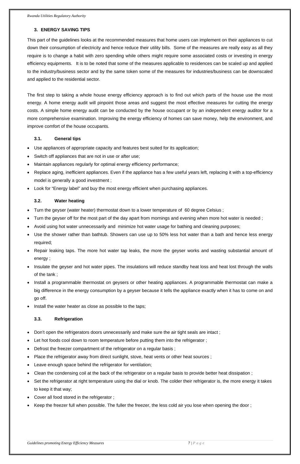# <span id="page-6-0"></span>**3. ENERGY SAVING TIPS**

This part of the guidelines looks at the recommended measures that home users can implement on their appliances to cut down their consumption of electricity and hence reduce their utility bills. Some of the measures are really easy as all they require is to change a habit with zero spending while others might require some associated costs or investing in energy efficiency equipments. It is to be noted that some of the measures applicable to residences can be scaled up and applied to the industry/business sector and by the same token some of the measures for industries/business can be downscaled and applied to the residential sector.

The first step to taking a whole house energy efficiency approach is to find out which parts of the house use the most energy. A home energy audit will pinpoint those areas and suggest the most effective measures for cutting the energy costs. A simple home energy audit can be conducted by the house occupant or by an independent energy auditor for a more comprehensive examination. Improving the energy efficiency of homes can save money, help the environment, and improve comfort of the house occupants.

# **3.1. General tips**

- Use appliances of appropriate capacity and features best suited for its application;
- Switch off appliances that are not in use or after use;
- Maintain appliances regularly for optimal energy efficiency performance;
- Replace aging, inefficient appliances. Even if the appliance has a few useful years left, replacing it with a top-efficiency model is generally a good investment ;
- Look for "Energy label" and buy the most energy efficient when purchasing appliances.

# **3.2. Water heating**

- Turn the geyser (water heater) thermostat down to a lower temperature of 60 degree Celsius ;
- Turn the geyser off for the most part of the day apart from mornings and evening when more hot water is needed ;
- Avoid using hot water unnecessarily and minimize hot water usage for bathing and cleaning purposes;
- Use the shower rather than bathtub. Showers can use up to 50% less hot water than a bath and hence less energy required;
- Repair leaking taps. The more hot water tap leaks, the more the geyser works and wasting substantial amount of energy ;
- Insulate the geyser and hot water pipes. The insulations will reduce standby heat loss and heat lost through the walls of the tank ;
- Install a programmable thermostat on geysers or other heating appliances. A programmable thermostat can make a big difference in the energy consumption by a geyser because it tells the appliance exactly when it has to come on and go off.
- Install the water heater as close as possible to the taps;

# **3.3. Refrigeration**

- Don't open the refrigerators doors unnecessarily and make sure the air tight seals are intact ;
- Let hot foods cool down to room temperature before putting them into the refrigerator;
- 
- Defrost the freezer compartment of the refrigerator on a regular basis;
- Place the refrigerator away from direct sunlight, stove, heat vents or other heat sources ;
- Leave enough space behind the refrigerator for ventilation;
- Clean the condensing coil at the back of the refrigerator on a regular basis to provide better heat dissipation ;
- Set the refrigerator at right temperature using the dial or knob. The colder their refrigerator is, the more energy it takes to keep it that way;
- Cover all food stored in the refrigerator ;
- Keep the freezer full when possible. The fuller the freezer, the less cold air you lose when opening the door ;

**Guidelines promoting Energy Efficiency Measures 6 and 2008 Control of the Second 2008 Control of Page**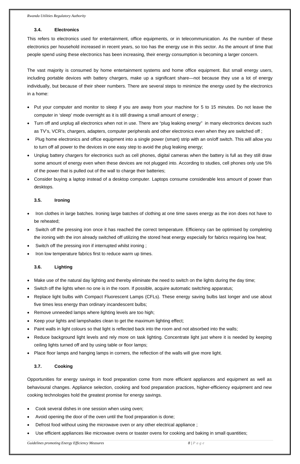# <span id="page-7-0"></span>**3.4. Electronics**

This refers to electronics used for entertainment, office equipments, or in telecommunication. As the number of these electronics per household increased in recent years, so too has the energy use in this sector. As the amount of time that people spend using these electronics has been increasing, their energy consumption is becoming a larger concern.

The vast majority is consumed by home entertainment systems and home office equipment. But small energy users, including portable devices with battery chargers, make up a significant share—not because they use a lot of energy individually, but because of their sheer numbers. There are several steps to minimize the energy used by the electronics in a home:

- Iron clothes in large batches. Ironing large batches of clothing at one time saves energy as the iron does not have to be reheated;
- Switch off the pressing iron once it has reached the correct temperature. Efficiency can be optimised by completing the ironing with the iron already switched off utilizing the stored heat energy especially for fabrics requiring low heat;
- Switch off the pressing iron if interrupted whilst ironing;
- Iron low temperature fabrics first to reduce warm up times.

- Make use of the natural day lighting and thereby eliminate the need to switch on the lights during the day time;
- Switch off the lights when no one is in the room. If possible, acquire automatic switching apparatus;
- Replace light bulbs with Compact Fluorescent Lamps (CFLs). These energy saving bulbs last longer and use about five times less energy than ordinary incandescent bulbs;
- Remove unneeded lamps where lighting levels are too high;
- Keep your lights and lampshades clean to get the maximum lighting effect;
- Paint walls in light colours so that light is reflected back into the room and not absorbed into the walls;
- Reduce background light levels and rely more on task lighting. Concentrate light just where it is needed by keeping
- Put your computer and monitor to sleep if you are away from your machine for 5 to 15 minutes. Do not leave the computer in 'sleep' mode overnight as it is still drawing a small amount of energy ;
- Turn off and unplug all electronics when not in use. There are "plug leaking energy" in many electronics devices such as TV's, VCR's, chargers, adapters, computer peripherals and other electronics even when they are switched off ;
- Plug home electronics and office equipment into a single power (smart) strip with an on/off switch. This will allow you to turn off all power to the devices in one easy step to avoid the plug leaking energy;
- Unplug battery chargers for electronics such as cell phones, digital cameras when the battery is full as they still draw some amount of energy even when these devices are not plugged into. According to studies, cell phones only use 5% of the power that is pulled out of the wall to charge their batteries;
- Consider buying a laptop instead of a desktop computer. Laptops consume considerable less amount of power than desktops.

# **3.5. Ironing**

# **3.6. Lighting**

ceiling lights turned off and by using table or floor lamps;

• Place floor lamps and hanging lamps in corners, the reflection of the walls will give more light.

# **3.7. Cooking**

Opportunities for energy savings in food preparation come from more efficient appliances and equipment as well as behavioural changes. Appliance selection, cooking and food preparation practices, higher-efficiency equipment and new cooking technologies hold the greatest promise for energy savings.

- Cook several dishes in one session when using oven;
- Avoid opening the door of the oven until the food preparation is done;
- Defrost food without using the microwave oven or any other electrical appliance ;
- Use efficient appliances like microwave ovens or toaster ovens for cooking and baking in small quantities;

*Guidelines promoting Energy Efficiency Measures* 6 and 200 measures 8 | P a g e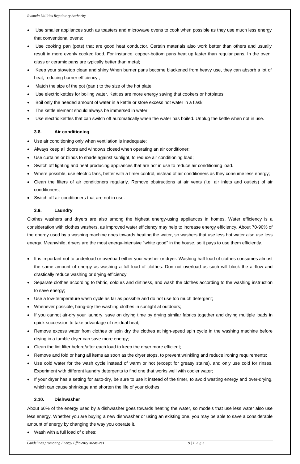- <span id="page-8-0"></span>Use smaller appliances such as toasters and microwave ovens to cook when possible as they use much less energy that conventional ovens;
- Use cooking pan (pots) that are good heat conductor. Certain materials also work better than others and usually result in more evenly cooked food. For instance, copper-bottom pans heat up faster than regular pans. In the oven, glass or ceramic pans are typically better than metal;
- Keep your stovetop clean and shiny When burner pans become blackened from heavy use, they can absorb a lot of heat, reducing burner efficiency ;
- Match the size of the pot (pan) to the size of the hot plate;
- Use electric kettles for boiling water. Kettles are more energy saving that cookers or hotplates;
- Boil only the needed amount of water in a kettle or store excess hot water in a flask;
- The kettle element should always be immersed in water;
- Use electric kettles that can switch off automatically when the water has boiled. Unplug the kettle when not in use.

- Use air conditioning only when ventilation is inadequate;
- Always keep all doors and windows closed when operating an air conditioner;
- Use curtains or blinds to shade against sunlight, to reduce air conditioning load;
- Switch off lighting and heat producing appliances that are not in use to reduce air conditioning load.
- Where possible, use electric fans, better with a timer control, instead of air conditioners as they consume less energy;
- Clean the filters of air conditioners regularly. Remove obstructions at air vents (i.e. air inlets and outlets) of air conditioners;
- Switch off air conditioners that are not in use.

# **3.8. Air conditioning**

# **3.9. Laundry**

Clothes washers and dryers are also among the highest energy-using appliances in homes. Water efficiency is a consideration with clothes washers, as improved water efficiency may help to increase energy efficiency. About 70-90% of the energy used by a washing machine goes towards heating the water, so washers that use less hot water also use less energy. Meanwhile, dryers are the most energy-intensive "white good" in the house, so it pays to use them efficiently.

- It is important not to underload or overload either your washer or dryer. Washing half load of clothes consumes almost the same amount of energy as washing a full load of clothes. Don not overload as such will block the airflow and drastically reduce washing or drying efficiency;
- Separate clothes according to fabric, colours and dirtiness, and wash the clothes according to the washing instruction to save energy;
- Use a low-temperature wash cycle as far as possible and do not use too much detergent;
- Whenever possible, hang-dry the washing clothes in sunlight at outdoors;
- If you cannot air-dry your laundry, save on drying time by drying similar fabrics together and drying multiple loads in quick succession to take advantage of residual heat;
- Remove excess water from clothes or spin dry the clothes at high-speed spin cycle in the washing machine before drying in a tumble dryer can save more energy;
- 
- Clean the lint filter before/after each load to keep the dryer more efficient;
- Remove and fold or hang all items as soon as the dryer stops, to prevent wrinkling and reduce ironing requirements;
- Use cold water for the wash cycle instead of warm or hot (except for greasy stains), and only use cold for rinses. Experiment with different laundry detergents to find one that works well with cooler water;
- If your dryer has a setting for auto-dry, be sure to use it instead of the timer, to avoid wasting energy and over-drying, which can cause shrinkage and shorten the life of your clothes.

# **3.10. Dishwasher**

About 60% of the energy used by a dishwasher goes towards heating the water, so models that use less water also use less energy. Whether you are buying a new dishwasher or using an existing one, you may be able to save a considerable amount of energy by changing the way you operate it.

Wash with a full load of dishes;

**Guidelines promoting Energy Efficiency Measures** *Guidelines promoting Energy Efficiency Measures**9 | P a g e*